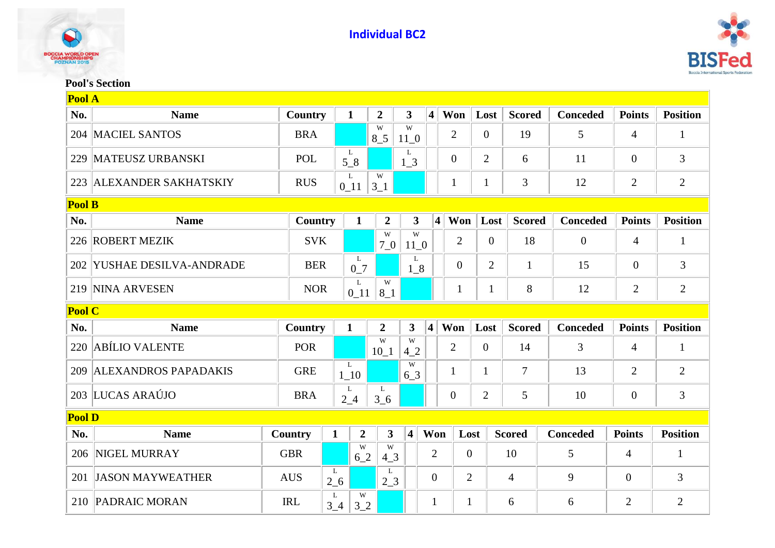



## **Pool's Section**

| Pool A        |                             |            |              |                  |                         |                         |                         |                |                |                |                 |                |                 |
|---------------|-----------------------------|------------|--------------|------------------|-------------------------|-------------------------|-------------------------|----------------|----------------|----------------|-----------------|----------------|-----------------|
| No.           | <b>Name</b>                 | Country    |              | $\mathbf{1}$     | $\overline{2}$          | $\overline{\mathbf{3}}$ | $\overline{\mathbf{4}}$ | Won            | Lost           | <b>Scored</b>  | <b>Conceded</b> | <b>Points</b>  | <b>Position</b> |
| 204           | <b>MACIEL SANTOS</b>        | <b>BRA</b> |              |                  | W<br>$8-5$              | W<br>$11_0$             |                         | $\overline{2}$ | $\overline{0}$ | 19             | 5               | 4              | 1               |
| 229           | <b>MATEUSZ URBANSKI</b>     | POL        |              | L<br>$5-8$       |                         | L<br>1 <sub>3</sub>     |                         | $\overline{0}$ | $\overline{2}$ | 6              | 11              | $\overline{0}$ | 3               |
| 223           | <b>ALEXANDER SAKHATSKIY</b> | <b>RUS</b> |              | L<br>$0_{11}$    | W<br>$3_{-1}$           |                         |                         | 1              | 1              | 3              | 12              | $\overline{2}$ | $\overline{2}$  |
| <b>Pool B</b> |                             |            |              |                  |                         |                         |                         |                |                |                |                 |                |                 |
| No.           | <b>Name</b>                 | Country    |              | $\mathbf{1}$     | $\boldsymbol{2}$        | $\mathbf{3}$            | $\overline{\mathbf{4}}$ | Won            | Lost           | <b>Scored</b>  | <b>Conceded</b> | <b>Points</b>  | <b>Position</b> |
| 226           | <b>ROBERT MEZIK</b>         | <b>SVK</b> |              |                  | W<br>70                 | W<br>$11_0$             |                         | $\overline{2}$ | $\overline{0}$ | 18             | $\overline{0}$  | $\overline{4}$ | 1               |
|               | 202 YUSHAE DESILVA-ANDRADE  | <b>BER</b> |              | L<br>$0-7$       |                         | L<br>$1_{8}$            |                         | $\overline{0}$ | $\overline{2}$ | $\mathbf{1}$   | 15              | $\overline{0}$ | 3               |
|               | 219 NINA ARVESEN            | <b>NOR</b> |              | L<br>$0$ 11      | W<br>$8-1$              |                         |                         | $\mathbf{1}$   | 1              | 8              | 12              | $\overline{2}$ | $\overline{2}$  |
| <b>Pool C</b> |                             |            |              |                  |                         |                         |                         |                |                |                |                 |                |                 |
| No.           | <b>Name</b>                 | Country    |              | $\mathbf{1}$     | $\overline{2}$          | 3                       | $\overline{\mathbf{4}}$ | Won            | Lost           | <b>Scored</b>  | <b>Conceded</b> | <b>Points</b>  | <b>Position</b> |
| 220           | <b>ABÍLIO VALENTE</b>       | <b>POR</b> |              |                  | W<br>$10_1$             | W<br>42                 |                         | $\overline{2}$ | $\overline{0}$ | 14             | 3               | 4              | $\mathbf{1}$    |
| 209           | <b>ALEXANDROS PAPADAKIS</b> | <b>GRE</b> |              | L<br>$1_{-}10$   |                         | W<br>$6^{3}$            |                         | 1              | 1              | $\overline{7}$ | 13              | $\overline{2}$ | $\overline{2}$  |
| 203           | LUCAS ARAÚJO                | <b>BRA</b> |              | L<br>$2_{-}4$    | L<br>3 <sub>6</sub>     |                         |                         | $\overline{0}$ | $\overline{2}$ | 5              | 10              | $\overline{0}$ | 3               |
| <b>Pool D</b> |                             |            |              |                  |                         |                         |                         |                |                |                |                 |                |                 |
| No.           | <b>Name</b>                 | Country    | $\mathbf{1}$ | $\boldsymbol{2}$ | $\overline{\mathbf{3}}$ | $\overline{\mathbf{4}}$ | Won                     | Lost           |                | <b>Scored</b>  | <b>Conceded</b> | <b>Points</b>  | <b>Position</b> |
| 206           | NIGEL MURRAY                | <b>GBR</b> |              | W<br>6 2         | W<br>$4-3$              |                         | $\overline{2}$          | $\overline{0}$ |                | 10             | 5               | $\overline{4}$ | $\mathbf{1}$    |
| 201           | <b>JASON MAYWEATHER</b>     | <b>AUS</b> | L<br>$2\_6$  |                  | L<br>2 <sub>1</sub> 3   |                         | $\overline{0}$          | $\overline{2}$ |                | $\overline{4}$ | 9               | $\overline{0}$ | 3               |
| 210           | <b>PADRAIC MORAN</b>        | <b>IRL</b> | L            | W                |                         |                         |                         |                |                |                |                 | 2              | $\overline{2}$  |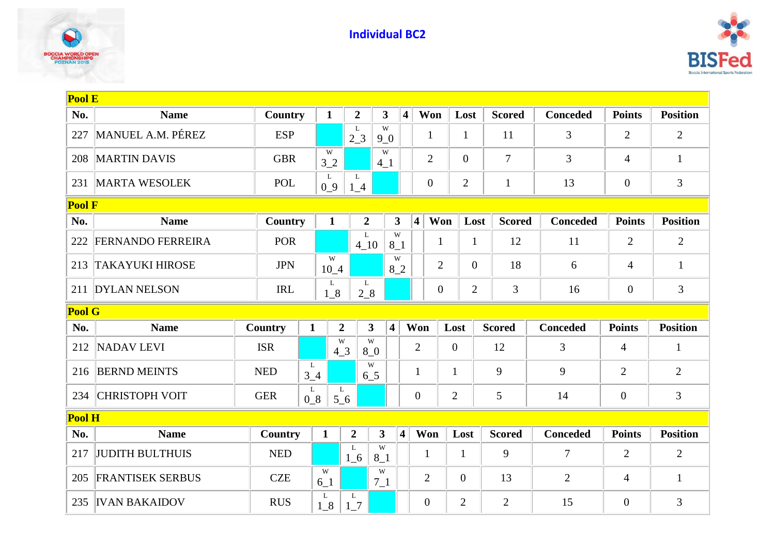



| <b>Pool E</b> |                          |                |                       |                       |                  |                              |                         |                         |                  |                  |                |                 |                |                 |
|---------------|--------------------------|----------------|-----------------------|-----------------------|------------------|------------------------------|-------------------------|-------------------------|------------------|------------------|----------------|-----------------|----------------|-----------------|
| No.           | <b>Name</b>              | Country        |                       | $\mathbf{1}$          | $\overline{2}$   | $\overline{\mathbf{3}}$      | $\overline{\mathbf{4}}$ |                         | Won              | Lost             | <b>Scored</b>  | <b>Conceded</b> | <b>Points</b>  | <b>Position</b> |
| 227           | MANUEL A.M. PÉREZ        | <b>ESP</b>     |                       |                       | L<br>$2_{-}3$    | W<br>9 <sub>0</sub>          |                         |                         | $\mathbf{1}$     | $\mathbf{1}$     | 11             | 3               | $\overline{2}$ | $\overline{2}$  |
| 208           | <b>MARTIN DAVIS</b>      | <b>GBR</b>     |                       | W<br>32               |                  | W<br>$4-1$                   |                         |                         | $\overline{2}$   | $\overline{0}$   | $\overline{7}$ | 3               | $\overline{4}$ | $\mathbf{1}$    |
| 231           | <b>MARTA WESOLEK</b>     | POL            |                       | $\mathbf{L}$<br>$0_9$ | L<br>$1_4$       |                              |                         |                         | $\boldsymbol{0}$ | $\overline{2}$   | $\mathbf{1}$   | 13              | $\overline{0}$ | 3               |
| <b>Pool F</b> |                          |                |                       |                       |                  |                              |                         |                         |                  |                  |                |                 |                |                 |
| No.           | <b>Name</b>              | Country        |                       | $\mathbf{1}$          | $\overline{2}$   |                              | $\mathbf{3}$            | $\overline{\mathbf{4}}$ | Won              | Lost             | <b>Scored</b>  | <b>Conceded</b> | <b>Points</b>  | <b>Position</b> |
| 222           | <b>FERNANDO FERREIRA</b> | <b>POR</b>     |                       |                       | L<br>$4_{10}$    |                              | W<br>$8-1$              |                         | $\mathbf{1}$     | $\mathbf{1}$     | 12             | 11              | $\overline{2}$ | $\mathbf{2}$    |
| 213           | <b>TAKAYUKI HIROSE</b>   | <b>JPN</b>     |                       | W<br>$10_4$           |                  |                              | W<br>82                 |                         | $\overline{2}$   | $\overline{0}$   | 18             | 6               | $\overline{4}$ | $\mathbf{1}$    |
| 211           | <b>DYLAN NELSON</b>      | <b>IRL</b>     |                       | L<br>$1_{8}$          | L<br>28          |                              |                         |                         | $\overline{0}$   | $\overline{2}$   | 3              | 16              | $\overline{0}$ | 3               |
| <b>Pool G</b> |                          |                |                       |                       |                  |                              |                         |                         |                  |                  |                |                 |                |                 |
| No.           | <b>Name</b>              | <b>Country</b> | $\mathbf{1}$          |                       | $\overline{2}$   | 3<br>$\overline{\mathbf{4}}$ |                         | Won                     |                  | Lost             | <b>Scored</b>  | <b>Conceded</b> | <b>Points</b>  | <b>Position</b> |
| 212           | NADAV LEVI               | <b>ISR</b>     |                       | W<br>$4-3$            |                  | W<br>8 <sub>0</sub>          |                         | $\overline{2}$          |                  | $\overline{0}$   | 12             | 3               | $\overline{4}$ | $\mathbf{1}$    |
| 216           | <b>BERND MEINTS</b>      | <b>NED</b>     | L<br>3 <sub>1</sub> 4 |                       |                  | W<br>6 <sub>2</sub> 5        |                         | $\mathbf{1}$            |                  | $\mathbf{1}$     | 9              | 9               | $\overline{2}$ | $\overline{2}$  |
| 234           | <b>CHRISTOPH VOIT</b>    | <b>GER</b>     | L<br>$0_8$            | L<br>$5-6$            |                  |                              |                         | $\overline{0}$          |                  | $\overline{2}$   | 5              | 14              | $\overline{0}$ | 3               |
| Pool H        |                          |                |                       |                       |                  |                              |                         |                         |                  |                  |                |                 |                |                 |
| No.           | <b>Name</b>              | Country        |                       | $\mathbf{1}$          | $\boldsymbol{2}$ | $\mathbf{3}$                 | $\overline{\mathbf{4}}$ | Won                     |                  | Lost             | <b>Scored</b>  | <b>Conceded</b> | <b>Points</b>  | <b>Position</b> |
| 217           | <b>JUDITH BULTHUIS</b>   | <b>NED</b>     |                       |                       | L<br>$1\_6$      | W<br>$8-1$                   |                         | $\mathbf{1}$            |                  | $\mathbf{1}$     | 9              | $\overline{7}$  | $\overline{2}$ | $\overline{2}$  |
| 205           | <b>FRANTISEK SERBUS</b>  | <b>CZE</b>     |                       | W<br>$6-1$            |                  | W<br>$7_{-1}$                |                         | $\overline{2}$          |                  | $\boldsymbol{0}$ | 13             | $\overline{2}$  | $\overline{4}$ | $\mathbf{1}$    |
| 235           | <b>IVAN BAKAIDOV</b>     | <b>RUS</b>     |                       | L<br>$1_{8}$          | L<br>$1-7$       |                              |                         | $\overline{0}$          |                  | $\overline{2}$   | $\overline{2}$ | 15              | $\overline{0}$ | 3               |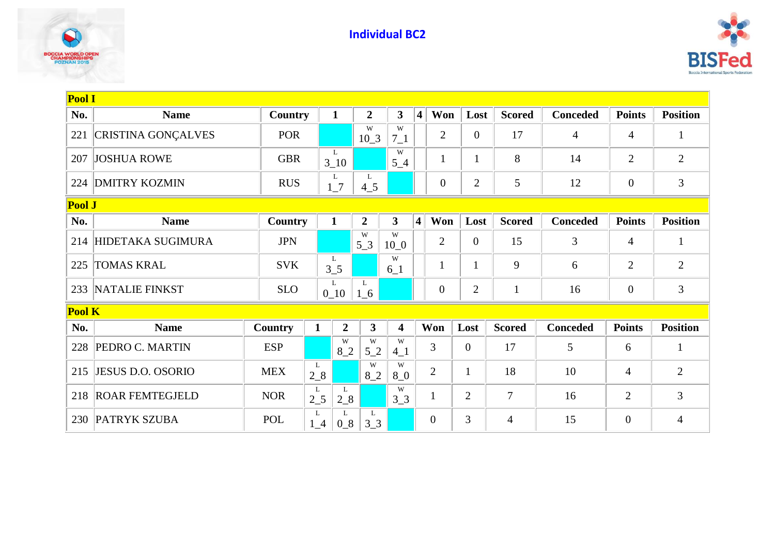



| Pool I |                           |                |               |                  |                   |                         |                         |                  |                |                |                 |                  |                 |
|--------|---------------------------|----------------|---------------|------------------|-------------------|-------------------------|-------------------------|------------------|----------------|----------------|-----------------|------------------|-----------------|
| No.    | <b>Name</b>               | <b>Country</b> |               | $\mathbf{1}$     | $\overline{2}$    | $\overline{\mathbf{3}}$ | $\overline{\mathbf{4}}$ | Won              | Lost           | <b>Scored</b>  | <b>Conceded</b> | <b>Points</b>    | <b>Position</b> |
| 221    | <b>CRISTINA GONÇALVES</b> | <b>POR</b>     |               |                  | W<br>$10_3$       | W<br>$7_{-1}$           |                         | $\overline{2}$   | $\overline{0}$ | 17             | $\overline{4}$  | 4                | $\mathbf{1}$    |
| 207    | <b>JOSHUA ROWE</b>        | <b>GBR</b>     |               | L<br>$3 - 10$    |                   | W<br>$5-4$              |                         | 1                | 1              | 8              | 14              | $\overline{2}$   | $\overline{2}$  |
| 224    | <b>DMITRY KOZMIN</b>      | <b>RUS</b>     |               | L<br>$1-7$       | L<br>$4\_5$       |                         |                         | $\boldsymbol{0}$ | $\overline{2}$ | 5              | 12              | $\theta$         | 3               |
|        | Pool J                    |                |               |                  |                   |                         |                         |                  |                |                |                 |                  |                 |
| No.    | <b>Name</b>               | Country        |               | $\mathbf{1}$     | $\overline{2}$    | $\overline{\mathbf{3}}$ | $\vert$                 | Won              | Lost           | <b>Scored</b>  | <b>Conceded</b> | <b>Points</b>    | <b>Position</b> |
| 214    | HIDETAKA SUGIMURA         | <b>JPN</b>     |               |                  | W<br>$5-3$        | W<br>$10_0$             |                         | $\overline{2}$   | $\overline{0}$ | 15             | 3               | $\overline{4}$   | $\mathbf{1}$    |
| 225    | <b>TOMAS KRAL</b>         | <b>SVK</b>     |               | L<br>$3_{-}5$    |                   | W<br>$6_1$              |                         | $\mathbf{1}$     | $\mathbf{1}$   | 9              | 6               | $\overline{2}$   | $\overline{2}$  |
| 233    | NATALIE FINKST            | <b>SLO</b>     |               | L<br>$0_{10}$    | L<br>$1\_6$       |                         |                         | $\overline{0}$   | $\mathbf{2}$   | $\mathbf{1}$   | 16              | $\boldsymbol{0}$ | 3               |
| Pool K |                           |                |               |                  |                   |                         |                         |                  |                |                |                 |                  |                 |
| No.    | <b>Name</b>               | Country        | $\mathbf{1}$  | $\boldsymbol{2}$ | $\mathbf{3}$      | $\overline{\mathbf{4}}$ |                         | Won              | Lost           | <b>Scored</b>  | <b>Conceded</b> | <b>Points</b>    | <b>Position</b> |
| 228    | PEDRO C. MARTIN           | <b>ESP</b>     |               | W<br>82          | W<br>$5^{\{-2\}}$ | W<br>$4\_1$             |                         | $\overline{3}$   | $\overline{0}$ | 17             | 5               | 6                | $\mathbf{1}$    |
| 215    | <b>JESUS D.O. OSORIO</b>  | <b>MEX</b>     | L<br>$2_{-}8$ |                  | W<br>82           | W<br>8 <sub>0</sub>     |                         | $\overline{2}$   | $\mathbf{1}$   | 18             | 10              | $\overline{4}$   | $\mathfrak{2}$  |
| 218    | <b>ROAR FEMTEGJELD</b>    | <b>NOR</b>     | L<br>$2\_5$   | L<br>$2 - 8$     |                   | W<br>3 <sub>3</sub>     |                         | $\mathbf{1}$     | $\overline{2}$ | $\overline{7}$ | 16              | $\overline{2}$   | 3               |
| 230    | <b>PATRYK SZUBA</b>       | <b>POL</b>     | L<br>$1_4$    | L<br>$0_8$       | L<br>$3_{-}3$     |                         |                         | $\overline{0}$   | 3              | 4              | 15              | $\overline{0}$   | $\overline{4}$  |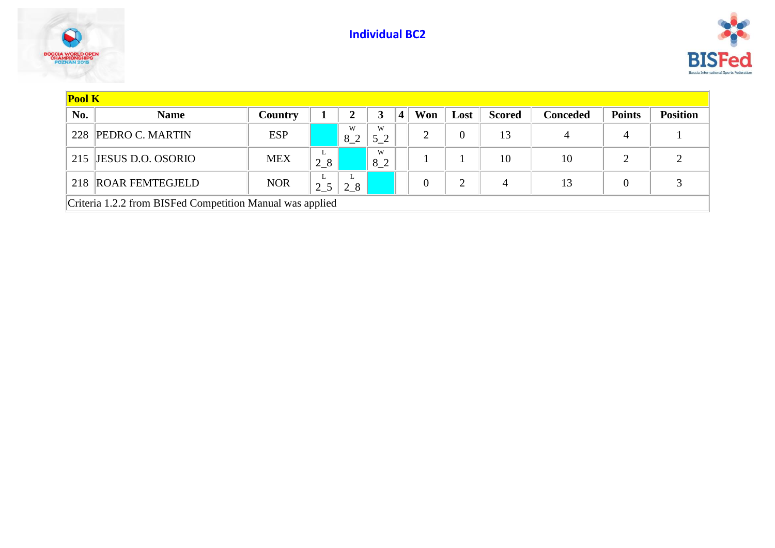**Individual BC2**





| <b>Pool K</b> |                                                           |            |          |         |                     |   |                |                |               |                 |                |                 |
|---------------|-----------------------------------------------------------|------------|----------|---------|---------------------|---|----------------|----------------|---------------|-----------------|----------------|-----------------|
| No.           | <b>Name</b>                                               | Country    |          | 2       |                     | 4 | Won            | Lost           | <b>Scored</b> | <b>Conceded</b> | <b>Points</b>  | <b>Position</b> |
| 228           | <b>PEDRO C. MARTIN</b>                                    | <b>ESP</b> |          | W<br>82 | W<br>5 <sub>2</sub> |   | $\overline{2}$ | $\overline{0}$ | 13            | 4               | $\overline{4}$ |                 |
| 215           | <b>JESUS D.O. OSORIO</b>                                  | <b>MEX</b> | ┶<br>28  |         | W<br>8 2            |   |                |                | 10            | 10              | $\overline{2}$ |                 |
| 218           | <b>ROAR FEMTEGJELD</b>                                    | <b>NOR</b> | ┺<br>2 5 | 2 8     |                     |   | $\overline{0}$ | 2              | 4             | 13              | 0              |                 |
|               | Criteria 1.2.2 from BISFed Competition Manual was applied |            |          |         |                     |   |                |                |               |                 |                |                 |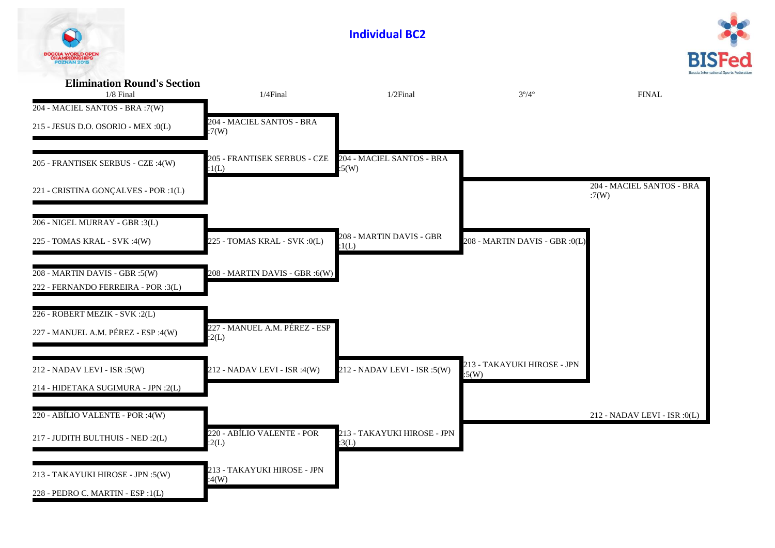| <b>BOCCIA WORLD OPEN</b><br><b>DZNAN 201</b>                                         |                                        |                                      |                                      |                                    |
|--------------------------------------------------------------------------------------|----------------------------------------|--------------------------------------|--------------------------------------|------------------------------------|
| <b>Elimination Round's Section</b><br>$1/8$ Final<br>204 - MACIEL SANTOS - BRA :7(W) | $1/4$ Final                            | $1/2$ Final                          | $3^{\circ}/4^{\circ}$                | <b>FINAL</b>                       |
| 215 - JESUS D.O. OSORIO - MEX :0(L)                                                  | 204 - MACIEL SANTOS - BRA<br>:7(W)     |                                      |                                      |                                    |
| 205 - FRANTISEK SERBUS - CZE :4(W)                                                   | 205 - FRANTISEK SERBUS - CZE<br>:1(L)  | 204 - MACIEL SANTOS - BRA<br>:5(W)   |                                      |                                    |
| 221 - CRISTINA GONÇALVES - POR :1(L)                                                 |                                        |                                      |                                      | 204 - MACIEL SANTOS - BRA<br>:7(W) |
| 206 - NIGEL MURRAY - GBR :3(L)                                                       |                                        |                                      |                                      |                                    |
| 225 - TOMAS KRAL - SVK :4(W)                                                         | 225 - TOMAS KRAL - SVK :0(L)           | 208 - MARTIN DAVIS - GBR<br>:1(L)    | 208 - MARTIN DAVIS - GBR :0(L)       |                                    |
| 208 - MARTIN DAVIS - GBR :5(W)<br>222 - FERNANDO FERREIRA - POR :3(L)                | 208 - MARTIN DAVIS - GBR :6(W)         |                                      |                                      |                                    |
|                                                                                      |                                        |                                      |                                      |                                    |
| 226 - ROBERT MEZIK - SVK : 2(L)                                                      |                                        |                                      |                                      |                                    |
| 227 - MANUEL A.M. PÉREZ - ESP :4(W)                                                  | 227 - MANUEL A.M. PÉREZ - ESP<br>:2(L) |                                      |                                      |                                    |
| 212 - NADAV LEVI - ISR :5(W)                                                         | 212 - NADAV LEVI - ISR :4(W)           | 212 - NADAV LEVI - ISR :5(W)         | 213 - TAKAYUKI HIROSE - JPN<br>:5(W) |                                    |
| 214 - HIDETAKA SUGIMURA - JPN :2(L)                                                  |                                        |                                      |                                      |                                    |
| 220 - ABÍLIO VALENTE - POR :4(W)                                                     |                                        |                                      |                                      | 212 - NADAV LEVI - ISR : 0(L)      |
| 217 - JUDITH BULTHUIS - NED :2(L)                                                    | 220 - ABÍLIO VALENTE - POR<br>:2(L)    | 213 - TAKAYUKI HIROSE - JPN<br>:3(L) |                                      |                                    |
|                                                                                      | 213 - TAKAYUKI HIROSE - JPN            |                                      |                                      |                                    |
| 213 - TAKAYUKI HIROSE - JPN :5(W)                                                    | :4(W)                                  |                                      |                                      |                                    |
| 228 - PEDRO C. MARTIN - ESP :1(L)                                                    |                                        |                                      |                                      |                                    |

**Individual BC2**



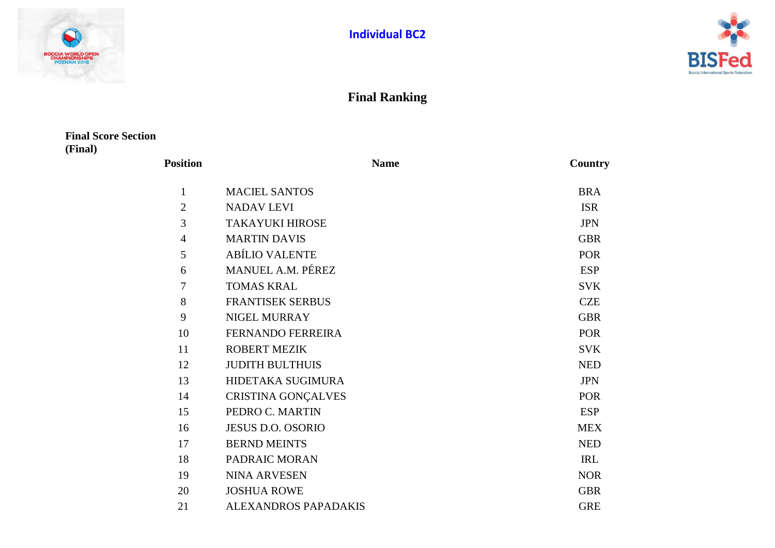



## **Final Ranking**

## **Final Score Section (Final)**

| <b>Position</b> | <b>Name</b>                 | Country    |
|-----------------|-----------------------------|------------|
| 1               | <b>MACIEL SANTOS</b>        | <b>BRA</b> |
| $\overline{2}$  | <b>NADAV LEVI</b>           | <b>ISR</b> |
| 3               | <b>TAKAYUKI HIROSE</b>      | <b>JPN</b> |
| $\overline{4}$  | <b>MARTIN DAVIS</b>         | <b>GBR</b> |
| 5               | <b>ABÍLIO VALENTE</b>       | <b>POR</b> |
| 6               | MANUEL A.M. PÉREZ           | <b>ESP</b> |
| 7               | <b>TOMAS KRAL</b>           | <b>SVK</b> |
| 8               | <b>FRANTISEK SERBUS</b>     | <b>CZE</b> |
| 9               | <b>NIGEL MURRAY</b>         | <b>GBR</b> |
| 10              | <b>FERNANDO FERREIRA</b>    | <b>POR</b> |
| 11              | <b>ROBERT MEZIK</b>         | <b>SVK</b> |
| 12              | <b>JUDITH BULTHUIS</b>      | <b>NED</b> |
| 13              | HIDETAKA SUGIMURA           | <b>JPN</b> |
| 14              | <b>CRISTINA GONÇALVES</b>   | <b>POR</b> |
| 15              | PEDRO C. MARTIN             | <b>ESP</b> |
| 16              | <b>JESUS D.O. OSORIO</b>    | <b>MEX</b> |
| 17              | <b>BERND MEINTS</b>         | <b>NED</b> |
| 18              | PADRAIC MORAN               | <b>IRL</b> |
| 19              | <b>NINA ARVESEN</b>         | <b>NOR</b> |
| 20              | <b>JOSHUA ROWE</b>          | <b>GBR</b> |
| 21              | <b>ALEXANDROS PAPADAKIS</b> | <b>GRE</b> |